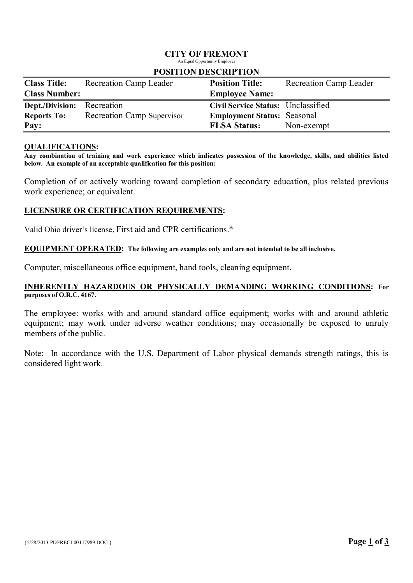# CITY OF FREMONT

An Equal Opportunity Employer

| <b>Class Title:</b>               | <b>Recreation Camp Leader</b>     | <b>Position Title:</b>             | <b>Recreation Camp Leader</b> |
|-----------------------------------|-----------------------------------|------------------------------------|-------------------------------|
| <b>Class Number:</b>              |                                   | <b>Employee Name:</b>              |                               |
| <b>Dept./Division:</b> Recreation |                                   | Civil Service Status: Unclassified |                               |
| <b>Reports To:</b>                | <b>Recreation Camp Supervisor</b> | <b>Employment Status: Seasonal</b> |                               |
| Pay:                              |                                   | <b>FLSA Status:</b>                | Non-exempt                    |

### POSITION DESCRIPTION

#### QUALIFICATIONS:

Any combination of training and work experience which indicates possession of the knowledge, skills, and abilities listed below. An example of an acceptable qualification for this position:

Completion of or actively working toward completion of secondary education, plus related previous work experience; or equivalent.

### LICENSURE OR CERTIFICATION REQUIREMENTS:

Valid Ohio driver's license, First aid and CPR certifications.\*

#### EQUIPMENT OPERATED: The following are examples only and are not intended to be all inclusive.

Computer, miscellaneous office equipment, hand tools, cleaning equipment.

### INHERENTLY HAZARDOUS OR PHYSICALLY DEMANDING WORKING CONDITIONS: For purposes of O.R.C. 4167.

The employee: works with and around standard office equipment; works with and around athletic equipment; may work under adverse weather conditions; may occasionally be exposed to unruly members of the public.

Note: In accordance with the U.S. Department of Labor physical demands strength ratings, this is considered light work.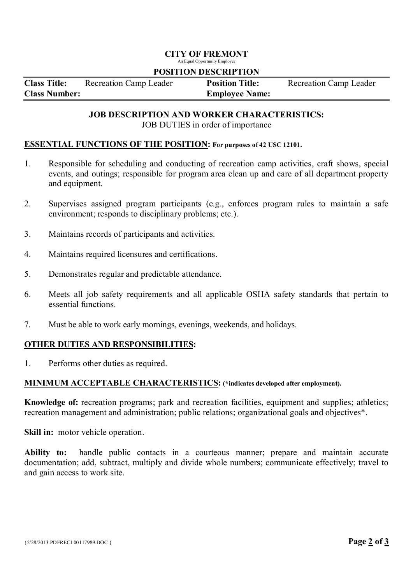# CITY OF FREMONT

An Equal Opportunity Employer

#### POSITION DESCRIPTION

| <b>Class Title:</b>  | <b>Recreation Camp Leader</b> | <b>Position Title:</b> | <b>Recreation Camp Leader</b> |
|----------------------|-------------------------------|------------------------|-------------------------------|
| <b>Class Number:</b> |                               | <b>Employee Name:</b>  |                               |

# JOB DESCRIPTION AND WORKER CHARACTERISTICS:

JOB DUTIES in order of importance

#### ESSENTIAL FUNCTIONS OF THE POSITION: For purposes of 42 USC 12101.

- 1. Responsible for scheduling and conducting of recreation camp activities, craft shows, special events, and outings; responsible for program area clean up and care of all department property and equipment.
- 2. Supervises assigned program participants (e.g., enforces program rules to maintain a safe environment; responds to disciplinary problems; etc.).
- 3. Maintains records of participants and activities.
- 4. Maintains required licensures and certifications.
- 5. Demonstrates regular and predictable attendance.
- 6. Meets all job safety requirements and all applicable OSHA safety standards that pertain to essential functions.
- 7. Must be able to work early mornings, evenings, weekends, and holidays.

### OTHER DUTIES AND RESPONSIBILITIES:

1. Performs other duties as required.

## MINIMUM ACCEPTABLE CHARACTERISTICS: (\*indicates developed after employment).

Knowledge of: recreation programs; park and recreation facilities, equipment and supplies; athletics; recreation management and administration; public relations; organizational goals and objectives\*.

Skill in: motor vehicle operation.

Ability to: handle public contacts in a courteous manner; prepare and maintain accurate documentation; add, subtract, multiply and divide whole numbers; communicate effectively; travel to and gain access to work site.